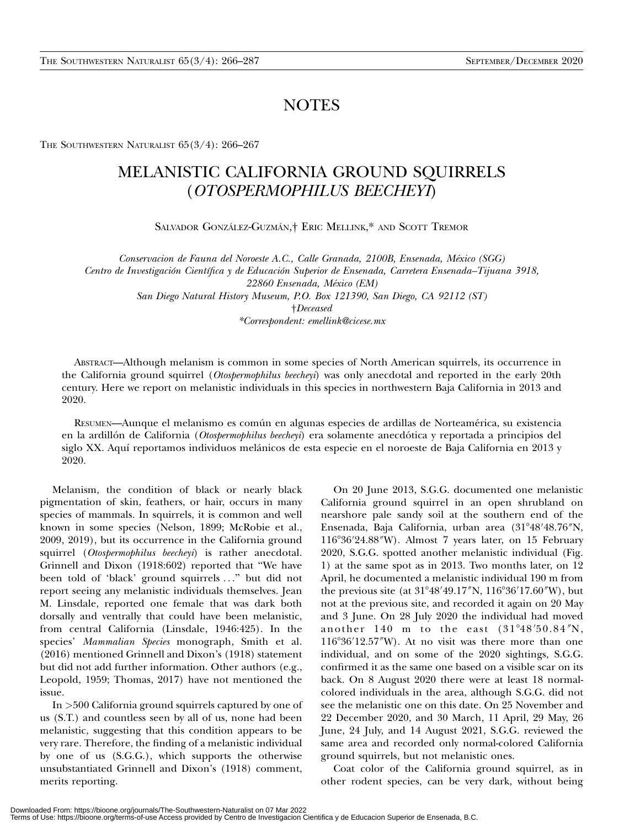## **NOTES**

THE SOUTHWESTERN NATURALIST  $65(3/4)$ : 266-267

## MELANISTIC CALIFORNIA GROUND SQUIRRELS (OTOSPERMOPHILUS BEECHEYI)

SALVADOR GONZÁLEZ-GUZMÁN,<sup>†</sup> ERIC MELLINK,<sup>\*</sup> AND SCOTT TREMOR

Conservacion de Fauna del Noroeste A.C., Calle Granada, 2100B, Ensenada, Mexico (SGG) ´ Centro de Investigación Científica y de Educación Superior de Ensenada, Carretera Ensenada–Tijuana 3918, 22860 Ensenada, México (EM) San Diego Natural History Museum, P.O. Box 121390, San Diego, CA 92112 (ST) †Deceased \*Correspondent: emellink@cicese.mx

ABSTRACT—Although melanism is common in some species of North American squirrels, its occurrence in the California ground squirrel (Otospermophilus beecheyi) was only anecdotal and reported in the early 20th century. Here we report on melanistic individuals in this species in northwestern Baja California in 2013 and 2020.

RESUMEN—Aunque el melanismo es común en algunas especies de ardillas de Norteamérica, su existencia en la ardillón de California (Otospermophilus beecheyi) era solamente anecdótica y reportada a principios del siglo XX. Aquí reportamos individuos melánicos de esta especie en el noroeste de Baja California en 2013 y 2020.

Melanism, the condition of black or nearly black pigmentation of skin, feathers, or hair, occurs in many species of mammals. In squirrels, it is common and well known in some species (Nelson, 1899; McRobie et al., 2009, 2019), but its occurrence in the California ground squirrel (Otospermophilus beecheyi) is rather anecdotal. Grinnell and Dixon (1918:602) reported that ''We have been told of 'black' ground squirrels . . .'' but did not report seeing any melanistic individuals themselves. Jean M. Linsdale, reported one female that was dark both dorsally and ventrally that could have been melanistic, from central California (Linsdale, 1946:425). In the species' Mammalian Species monograph, Smith et al. (2016) mentioned Grinnell and Dixon's (1918) statement but did not add further information. Other authors (e.g., Leopold, 1959; Thomas, 2017) have not mentioned the issue.

In >500 California ground squirrels captured by one of us (S.T.) and countless seen by all of us, none had been melanistic, suggesting that this condition appears to be very rare. Therefore, the finding of a melanistic individual by one of us (S.G.G.), which supports the otherwise unsubstantiated Grinnell and Dixon's (1918) comment, merits reporting.

On 20 June 2013, S.G.G. documented one melanistic California ground squirrel in an open shrubland on nearshore pale sandy soil at the southern end of the Ensenada, Baja California, urban area (31°48′48.76″N, 116°36'24.88"W). Almost 7 years later, on 15 February 2020, S.G.G. spotted another melanistic individual (Fig. 1) at the same spot as in 2013. Two months later, on 12 April, he documented a melanistic individual 190 m from the previous site (at 31°48′49.17″N, 116°36′17.60″W), but not at the previous site, and recorded it again on 20 May and 3 June. On 28 July 2020 the individual had moved another  $140$  m to the east  $(31^{\circ}48'50.84''N,$  $116°36'12.57''W$ ). At no visit was there more than one individual, and on some of the 2020 sightings, S.G.G. confirmed it as the same one based on a visible scar on its back. On 8 August 2020 there were at least 18 normalcolored individuals in the area, although S.G.G. did not see the melanistic one on this date. On 25 November and 22 December 2020, and 30 March, 11 April, 29 May, 26 June, 24 July, and 14 August 2021, S.G.G. reviewed the same area and recorded only normal-colored California ground squirrels, but not melanistic ones.

Coat color of the California ground squirrel, as in other rodent species, can be very dark, without being